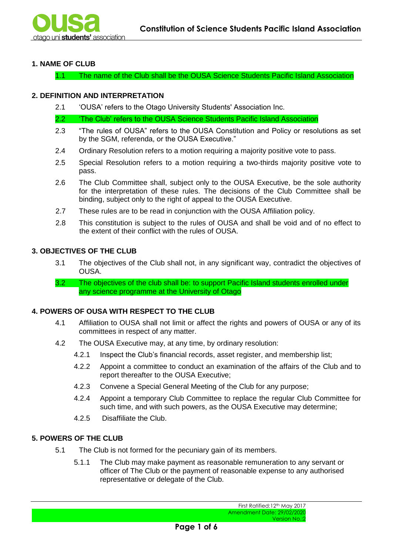

# **1. NAME OF CLUB**

1.1 The name of the Club shall be the OUSA Science Students Pacific Island Association

## **2. DEFINITION AND INTERPRETATION**

2.1 'OUSA' refers to the Otago University Students' Association Inc.

2.2 'The Club' refers to the OUSA Science Students Pacific Island Association

- 2.3 "The rules of OUSA" refers to the OUSA Constitution and Policy or resolutions as set by the SGM, referenda, or the OUSA Executive."
- 2.4 Ordinary Resolution refers to a motion requiring a majority positive vote to pass.
- 2.5 Special Resolution refers to a motion requiring a two-thirds majority positive vote to pass.
- 2.6 The Club Committee shall, subject only to the OUSA Executive, be the sole authority for the interpretation of these rules. The decisions of the Club Committee shall be binding, subject only to the right of appeal to the OUSA Executive.
- 2.7 These rules are to be read in conjunction with the OUSA Affiliation policy.
- 2.8 This constitution is subject to the rules of OUSA and shall be void and of no effect to the extent of their conflict with the rules of OUSA.

### **3. OBJECTIVES OF THE CLUB**

- 3.1 The objectives of the Club shall not, in any significant way, contradict the objectives of OUSA.
- 3.2 The objectives of the club shall be: to support Pacific Island students enrolled under any science programme at the University of Otago

#### **4. POWERS OF OUSA WITH RESPECT TO THE CLUB**

- 4.1 Affiliation to OUSA shall not limit or affect the rights and powers of OUSA or any of its committees in respect of any matter.
- 4.2 The OUSA Executive may, at any time, by ordinary resolution:
	- 4.2.1 Inspect the Club's financial records, asset register, and membership list;
	- 4.2.2 Appoint a committee to conduct an examination of the affairs of the Club and to report thereafter to the OUSA Executive;
	- 4.2.3 Convene a Special General Meeting of the Club for any purpose;
	- 4.2.4 Appoint a temporary Club Committee to replace the regular Club Committee for such time, and with such powers, as the OUSA Executive may determine;
	- 4.2.5 Disaffiliate the Club.

# **5. POWERS OF THE CLUB**

- 5.1 The Club is not formed for the pecuniary gain of its members.
	- 5.1.1 The Club may make payment as reasonable remuneration to any servant or officer of The Club or the payment of reasonable expense to any authorised representative or delegate of the Club.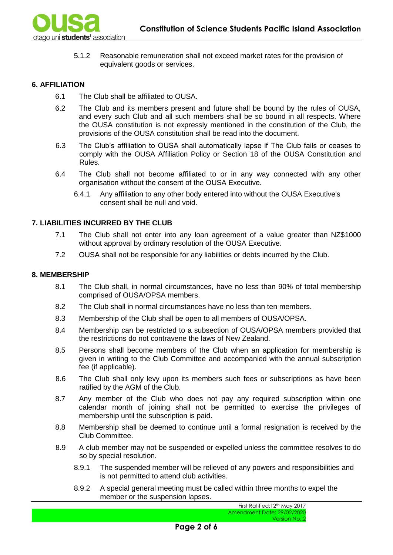

5.1.2 Reasonable remuneration shall not exceed market rates for the provision of equivalent goods or services.

## **6. AFFILIATION**

- 6.1 The Club shall be affiliated to OUSA.
- 6.2 The Club and its members present and future shall be bound by the rules of OUSA, and every such Club and all such members shall be so bound in all respects. Where the OUSA constitution is not expressly mentioned in the constitution of the Club, the provisions of the OUSA constitution shall be read into the document.
- 6.3 The Club's affiliation to OUSA shall automatically lapse if The Club fails or ceases to comply with the OUSA Affiliation Policy or Section 18 of the OUSA Constitution and Rules.
- 6.4 The Club shall not become affiliated to or in any way connected with any other organisation without the consent of the OUSA Executive.
	- 6.4.1 Any affiliation to any other body entered into without the OUSA Executive's consent shall be null and void.

### **7. LIABILITIES INCURRED BY THE CLUB**

- 7.1 The Club shall not enter into any loan agreement of a value greater than NZ\$1000 without approval by ordinary resolution of the OUSA Executive.
- 7.2 OUSA shall not be responsible for any liabilities or debts incurred by the Club.

#### **8. MEMBERSHIP**

- 8.1 The Club shall, in normal circumstances, have no less than 90% of total membership comprised of OUSA/OPSA members.
- 8.2 The Club shall in normal circumstances have no less than ten members.
- 8.3 Membership of the Club shall be open to all members of OUSA/OPSA.
- 8.4 Membership can be restricted to a subsection of OUSA/OPSA members provided that the restrictions do not contravene the laws of New Zealand.
- 8.5 Persons shall become members of the Club when an application for membership is given in writing to the Club Committee and accompanied with the annual subscription fee (if applicable).
- 8.6 The Club shall only levy upon its members such fees or subscriptions as have been ratified by the AGM of the Club.
- 8.7 Any member of the Club who does not pay any required subscription within one calendar month of joining shall not be permitted to exercise the privileges of membership until the subscription is paid.
- 8.8 Membership shall be deemed to continue until a formal resignation is received by the Club Committee.
- 8.9 A club member may not be suspended or expelled unless the committee resolves to do so by special resolution.
	- 8.9.1 The suspended member will be relieved of any powers and responsibilities and is not permitted to attend club activities.
	- 8.9.2 A special general meeting must be called within three months to expel the member or the suspension lapses.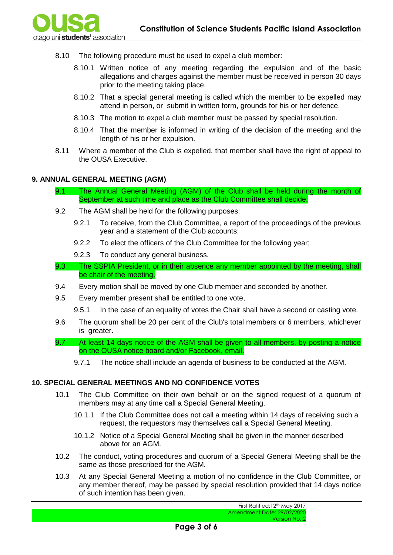

- 8.10 The following procedure must be used to expel a club member:
	- 8.10.1 Written notice of any meeting regarding the expulsion and of the basic allegations and charges against the member must be received in person 30 days prior to the meeting taking place.
	- 8.10.2 That a special general meeting is called which the member to be expelled may attend in person, or submit in written form, grounds for his or her defence.
	- 8.10.3 The motion to expel a club member must be passed by special resolution.
	- 8.10.4 That the member is informed in writing of the decision of the meeting and the length of his or her expulsion.
- 8.11 Where a member of the Club is expelled, that member shall have the right of appeal to the OUSA Executive.

### **9. ANNUAL GENERAL MEETING (AGM)**

- 9.1 The Annual General Meeting (AGM) of the Club shall be held during the month of September at such time and place as the Club Committee shall decide.
- 9.2 The AGM shall be held for the following purposes:
	- 9.2.1 To receive, from the Club Committee, a report of the proceedings of the previous year and a statement of the Club accounts;
	- 9.2.2 To elect the officers of the Club Committee for the following year;
	- 9.2.3 To conduct any general business.
- 9.3 The SSPIA President, or in their absence any member appointed by the meeting, shall be chair of the meeting.
- 9.4 Every motion shall be moved by one Club member and seconded by another.
- 9.5 Every member present shall be entitled to one vote,
	- 9.5.1 In the case of an equality of votes the Chair shall have a second or casting vote.
- 9.6 The quorum shall be 20 per cent of the Club's total members or 6 members, whichever is greater.
- 9.7 At least 14 days notice of the AGM shall be given to all members, by posting a notice on the OUSA notice board and/or Facebook, email.
	- 9.7.1 The notice shall include an agenda of business to be conducted at the AGM.

#### **10. SPECIAL GENERAL MEETINGS AND NO CONFIDENCE VOTES**

- 10.1 The Club Committee on their own behalf or on the signed request of a quorum of members may at any time call a Special General Meeting.
	- 10.1.1 If the Club Committee does not call a meeting within 14 days of receiving such a request, the requestors may themselves call a Special General Meeting.
	- 10.1.2 Notice of a Special General Meeting shall be given in the manner described above for an AGM.
- 10.2 The conduct, voting procedures and quorum of a Special General Meeting shall be the same as those prescribed for the AGM.
- 10.3 At any Special General Meeting a motion of no confidence in the Club Committee, or any member thereof, may be passed by special resolution provided that 14 days notice of such intention has been given.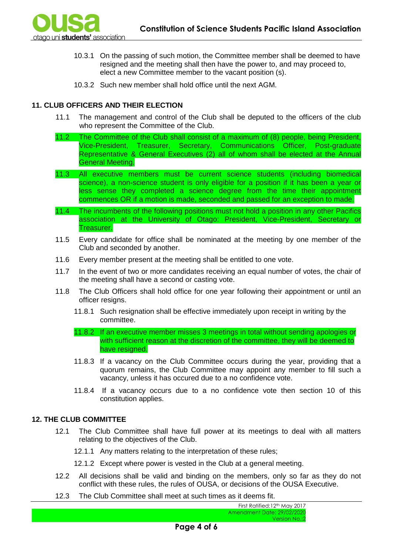

- 10.3.1 On the passing of such motion, the Committee member shall be deemed to have resigned and the meeting shall then have the power to, and may proceed to, elect a new Committee member to the vacant position (s).
- 10.3.2 Such new member shall hold office until the next AGM.

# **11. CLUB OFFICERS AND THEIR ELECTION**

- 11.1 The management and control of the Club shall be deputed to the officers of the club who represent the Committee of the Club.
- 11.2 The Committee of the Club shall consist of a maximum of (8) people, being President, Vice-President, Treasurer, Secretary, Communications Officer, Post-graduate Representative & General Executives (2) all of whom shall be elected at the Annual General Meeting.
- 11.3 All executive members must be current science students (including biomedical science), a non-science student is only eligible for a position if it has been a year or less sense they completed a science degree from the time their appointment commences OR if a motion is made, seconded and passed for an exception to made.
- 11.4 The incumbents of the following positions must not hold a position in any other Pacifics association at the University of Otago: President, Vice-President, Secretary or Treasurer.
- 11.5 Every candidate for office shall be nominated at the meeting by one member of the Club and seconded by another.
- 11.6 Every member present at the meeting shall be entitled to one vote.
- 11.7 In the event of two or more candidates receiving an equal number of votes, the chair of the meeting shall have a second or casting vote.
- 11.8 The Club Officers shall hold office for one year following their appointment or until an officer resigns.
	- 11.8.1 Such resignation shall be effective immediately upon receipt in writing by the committee.
	- 11.8.2 If an executive member misses 3 meetings in total without sending apologies or with sufficient reason at the discretion of the committee, they will be deemed to have resigned.
	- 11.8.3 If a vacancy on the Club Committee occurs during the year, providing that a quorum remains, the Club Committee may appoint any member to fill such a vacancy, unless it has occured due to a no confidence vote.
	- 11.8.4 If a vacancy occurs due to a no confidence vote then section 10 of this constitution applies.

# **12. THE CLUB COMMITTEE**

- 12.1 The Club Committee shall have full power at its meetings to deal with all matters relating to the objectives of the Club.
	- 12.1.1 Any matters relating to the interpretation of these rules;
	- 12.1.2 Except where power is vested in the Club at a general meeting.
- 12.2 All decisions shall be valid and binding on the members, only so far as they do not conflict with these rules, the rules of OUSA, or decisions of the OUSA Executive.
- 12.3 The Club Committee shall meet at such times as it deems fit.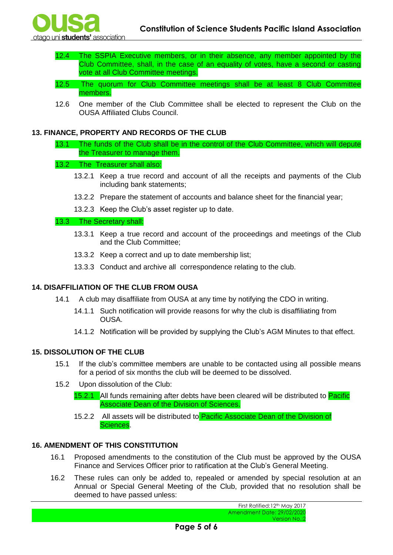- 12.4 The SSPIA Executive members, or in their absence, any member appointed by the Club Committee, shall, in the case of an equality of votes, have a second or casting vote at all Club Committee meetings.
- 12.5 The quorum for Club Committee meetings shall be at least 8 Club Committee members.
- 12.6 One member of the Club Committee shall be elected to represent the Club on the OUSA Affiliated Clubs Council.

# **13. FINANCE, PROPERTY AND RECORDS OF THE CLUB**

13.1 The funds of the Club shall be in the control of the Club Committee, which will depute the Treasurer to manage them.

### 13.2 The Treasurer shall also:

- 13.2.1 Keep a true record and account of all the receipts and payments of the Club including bank statements;
- 13.2.2 Prepare the statement of accounts and balance sheet for the financial year;
- 13.2.3 Keep the Club's asset register up to date.

### 13.3 The Secretary shall:

- 13.3.1 Keep a true record and account of the proceedings and meetings of the Club and the Club Committee;
- 13.3.2 Keep a correct and up to date membership list;
- 13.3.3 Conduct and archive all correspondence relating to the club.

# **14. DISAFFILIATION OF THE CLUB FROM OUSA**

- 14.1 A club may disaffiliate from OUSA at any time by notifying the CDO in writing.
	- 14.1.1 Such notification will provide reasons for why the club is disaffiliating from OUSA.
	- 14.1.2 Notification will be provided by supplying the Club's AGM Minutes to that effect.

# **15. DISSOLUTION OF THE CLUB**

- 15.1 If the club's committee members are unable to be contacted using all possible means for a period of six months the club will be deemed to be dissolved.
- 15.2 Upon dissolution of the Club:
	- 15.2.1 All funds remaining after debts have been cleared will be distributed to **Pacific** Associate Dean of the Division of Sciences.
	- 15.2.2 All assets will be distributed to **Pacific Associate Dean of the Division of** Sciences.

# **16. AMENDMENT OF THIS CONSTITUTION**

- 16.1 Proposed amendments to the constitution of the Club must be approved by the OUSA Finance and Services Officer prior to ratification at the Club's General Meeting.
- 16.2 These rules can only be added to, repealed or amended by special resolution at an Annual or Special General Meeting of the Club, provided that no resolution shall be deemed to have passed unless: